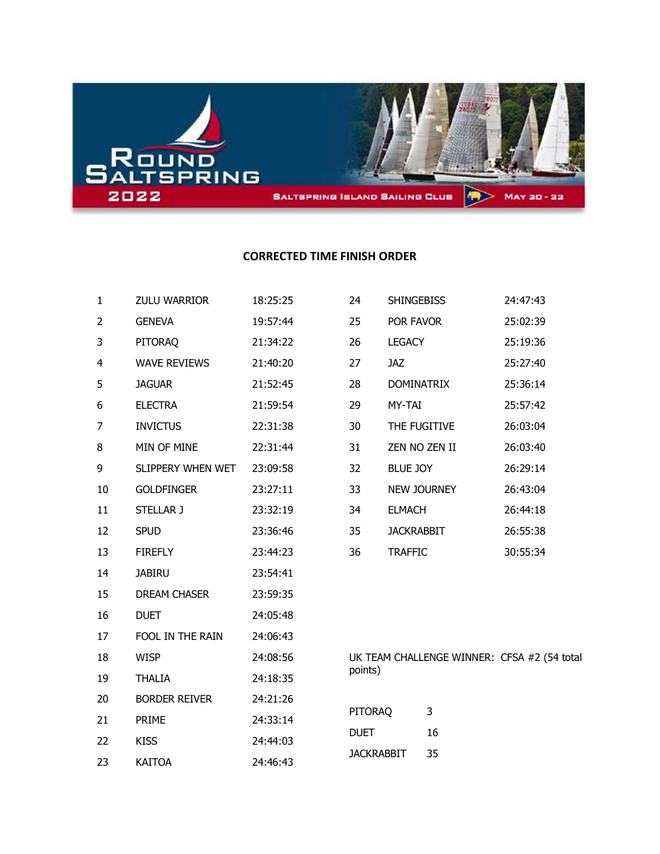

## **CORRECTED TIME FINISH ORDER**

| $\mathbf{1}$   | ZULU WARRIOR         | 18:25:25 | 24                |                   | <b>SHINGEBISS</b> | 24:47:43                                    |
|----------------|----------------------|----------|-------------------|-------------------|-------------------|---------------------------------------------|
| $\overline{2}$ | <b>GENEVA</b>        | 19:57:44 | 25                | POR FAVOR         |                   | 25:02:39                                    |
| 3              | PITORAQ              | 21:34:22 | 26                | <b>LEGACY</b>     |                   | 25:19:36                                    |
| 4              | <b>WAVE REVIEWS</b>  | 21:40:20 | 27                | <b>JAZ</b>        |                   | 25:27:40                                    |
| 5              | <b>JAGUAR</b>        | 21:52:45 | 28                |                   | <b>DOMINATRIX</b> | 25:36:14                                    |
| 6              | <b>ELECTRA</b>       | 21:59:54 | 29                | MY-TAI            |                   | 25:57:42                                    |
| 7              | <b>INVICTUS</b>      | 22:31:38 | 30                |                   | THE FUGITIVE      | 26:03:04                                    |
| 8              | MIN OF MINE          | 22:31:44 | 31                |                   | ZEN NO ZEN II     | 26:03:40                                    |
| 9              | SLIPPERY WHEN WET    | 23:09:58 | 32                | <b>BLUE JOY</b>   |                   | 26:29:14                                    |
| 10             | <b>GOLDFINGER</b>    | 23:27:11 | 33                |                   | NEW JOURNEY       | 26:43:04                                    |
| 11             | STELLAR J            | 23:32:19 | 34                | <b>ELMACH</b>     |                   | 26:44:18                                    |
| 12             | <b>SPUD</b>          | 23:36:46 | 35                | <b>JACKRABBIT</b> |                   | 26:55:38                                    |
| 13             | <b>FIREFLY</b>       | 23:44:23 | 36                | <b>TRAFFIC</b>    |                   | 30:55:34                                    |
| 14             | <b>JABIRU</b>        | 23:54:41 |                   |                   |                   |                                             |
| 15             | DREAM CHASER         | 23:59:35 |                   |                   |                   |                                             |
| 16             | <b>DUET</b>          | 24:05:48 |                   |                   |                   |                                             |
| 17             | FOOL IN THE RAIN     | 24:06:43 |                   |                   |                   |                                             |
| 18             | <b>WISP</b>          | 24:08:56 |                   |                   |                   | UK TEAM CHALLENGE WINNER: CFSA #2 (54 total |
| 19             | <b>THALIA</b>        | 24:18:35 | points)           |                   |                   |                                             |
| 20             | <b>BORDER REIVER</b> | 24:21:26 |                   |                   |                   |                                             |
| 21             | PRIME                | 24:33:14 | PITORAQ           |                   | 3                 |                                             |
| 22             | <b>KISS</b>          | 24:44:03 | <b>DUET</b>       |                   | 16                |                                             |
| 23             | <b>KAITOA</b>        | 24:46:43 | <b>JACKRABBIT</b> |                   | 35                |                                             |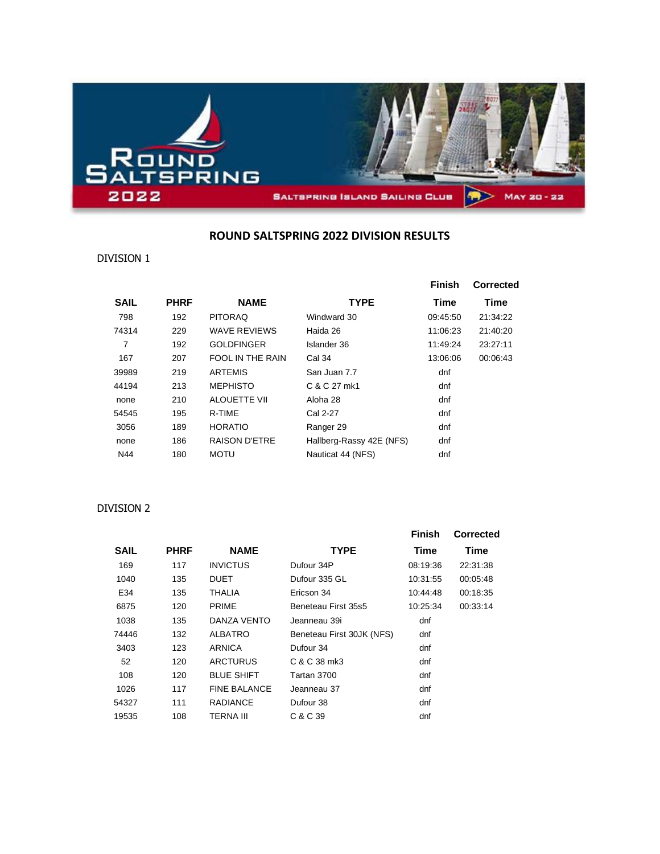

#### **ROUND SALTSPRING 2022 DIVISION RESULTS**

#### DIVISION 1

|             |             |                      |                          | <b>Finish</b> | Corrected |
|-------------|-------------|----------------------|--------------------------|---------------|-----------|
| <b>SAIL</b> | <b>PHRF</b> | <b>NAME</b>          | <b>TYPE</b>              | Time          | Time      |
| 798         | 192         | <b>PITORAQ</b>       | Windward 30              | 09:45:50      | 21:34:22  |
| 74314       | 229         | <b>WAVE REVIEWS</b>  | Haida 26                 | 11:06:23      | 21:40:20  |
| 7           | 192         | <b>GOLDFINGER</b>    | Islander 36              | 11:49:24      | 23:27:11  |
| 167         | 207         | FOOL IN THE RAIN     | Cal 34                   | 13:06:06      | 00:06:43  |
| 39989       | 219         | <b>ARTEMIS</b>       | San Juan 7.7             | dnf           |           |
| 44194       | 213         | <b>MEPHISTO</b>      | C & C 27 mk1             | dnf           |           |
| none        | 210         | <b>ALOUETTE VII</b>  | Aloha 28                 | dnf           |           |
| 54545       | 195         | R-TIME               | Cal 2-27                 | dnf           |           |
| 3056        | 189         | <b>HORATIO</b>       | Ranger 29                | dnf           |           |
| none        | 186         | <b>RAISON D'ETRE</b> | Hallberg-Rassy 42E (NFS) | dnf           |           |
| N44         | 180         | <b>MOTU</b>          | Nauticat 44 (NFS)        | dnf           |           |

#### DIVISION 2

|             |             |                     |                           | <b>Finish</b> | <b>Corrected</b> |
|-------------|-------------|---------------------|---------------------------|---------------|------------------|
| <b>SAIL</b> | <b>PHRF</b> | <b>NAME</b>         | <b>TYPE</b>               | Time          | Time             |
| 169         | 117         | <b>INVICTUS</b>     | Dufour 34P                | 08:19:36      | 22:31:38         |
| 1040        | 135         | DUET                | Dufour 335 GL             | 10:31:55      | 00:05:48         |
| E34         | 135         | THALIA              | Ericson 34                | 10:44:48      | 00:18:35         |
| 6875        | 120         | <b>PRIME</b>        | Beneteau First 35s5       | 10:25:34      | 00:33:14         |
| 1038        | 135         | DANZA VENTO         | Jeanneau 39i              | dnf           |                  |
| 74446       | 132         | ALBATRO             | Beneteau First 30JK (NFS) | dnf           |                  |
| 3403        | 123         | ARNICA              | Dufour 34                 | dnf           |                  |
| 52          | 120         | <b>ARCTURUS</b>     | C & C 38 mk3              | dnf           |                  |
| 108         | 120         | <b>BLUE SHIFT</b>   | Tartan 3700               | dnf           |                  |
| 1026        | 117         | <b>FINE BALANCE</b> | Jeanneau 37               | dnf           |                  |
| 54327       | 111         | <b>RADIANCE</b>     | Dufour 38                 | dnf           |                  |
| 19535       | 108         | TERNA III           | C & C 39                  | dnf           |                  |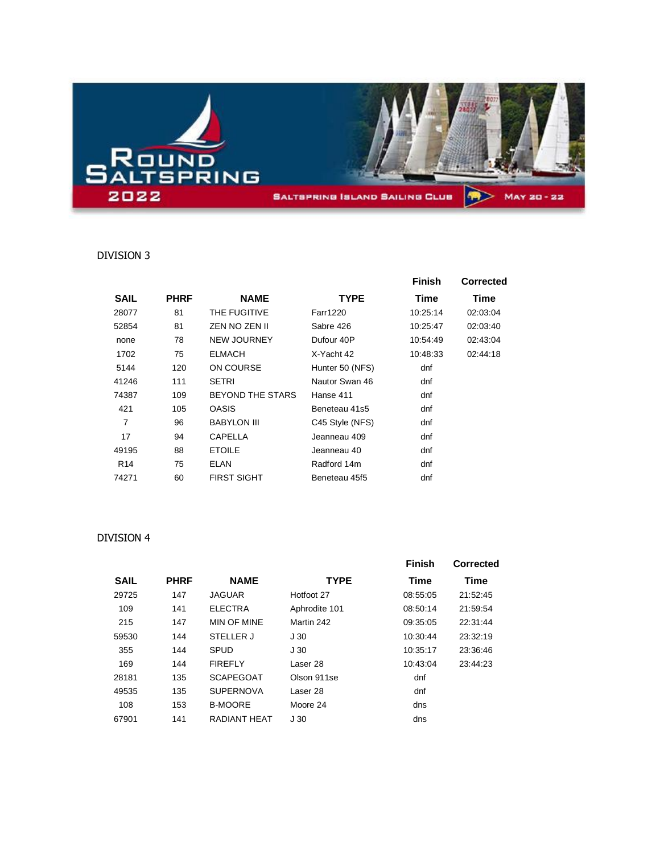

### DIVISION 3

|                 |             |                         |                 | <b>Finish</b> | <b>Corrected</b> |
|-----------------|-------------|-------------------------|-----------------|---------------|------------------|
| <b>SAIL</b>     | <b>PHRF</b> | <b>NAME</b>             | <b>TYPE</b>     | Time          | Time             |
| 28077           | 81          | THE FUGITIVE            | <b>Farr1220</b> | 10:25:14      | 02:03:04         |
| 52854           | 81          | ZEN NO ZEN II           | Sabre 426       | 10:25:47      | 02:03:40         |
| none            | 78          | <b>NEW JOURNEY</b>      | Dufour 40P      | 10:54:49      | 02:43:04         |
| 1702            | 75          | <b>ELMACH</b>           | X-Yacht 42      | 10:48:33      | 02:44:18         |
| 5144            | 120         | ON COURSE               | Hunter 50 (NFS) | dnf           |                  |
| 41246           | 111         | <b>SETRI</b>            | Nautor Swan 46  | dnf           |                  |
| 74387           | 109         | <b>BEYOND THE STARS</b> | Hanse 411       | dnf           |                  |
| 421             | 105         | <b>OASIS</b>            | Beneteau 41s5   | dnf           |                  |
| $\overline{7}$  | 96          | <b>BABYLON III</b>      | C45 Style (NFS) | dnf           |                  |
| 17              | 94          | <b>CAPELLA</b>          | Jeanneau 409    | dnf           |                  |
| 49195           | 88          | <b>ETOILE</b>           | Jeanneau 40     | dnf           |                  |
| R <sub>14</sub> | 75          | <b>ELAN</b>             | Radford 14m     | dnf           |                  |
| 74271           | 60          | <b>FIRST SIGHT</b>      | Beneteau 45f5   | dnf           |                  |

#### DIVISION 4

|             |             |                  |                 | <b>Finish</b> | Corrected |
|-------------|-------------|------------------|-----------------|---------------|-----------|
| <b>SAIL</b> | <b>PHRF</b> | <b>NAME</b>      | <b>TYPE</b>     | Time          | Time      |
| 29725       | 147         | JAGUAR           | Hotfoot 27      | 08:55:05      | 21:52:45  |
| 109         | 141         | <b>ELECTRA</b>   | Aphrodite 101   | 08:50:14      | 21:59:54  |
| 215         | 147         | MIN OF MINE      | Martin 242      | 09:35:05      | 22:31:44  |
| 59530       | 144         | STELLER J        | J30             | 10:30:44      | 23:32:19  |
| 355         | 144         | SPUD             | J <sub>30</sub> | 10:35:17      | 23:36:46  |
| 169         | 144         | <b>FIREFLY</b>   | Laser 28        | 10:43:04      | 23:44:23  |
| 28181       | 135         | <b>SCAPEGOAT</b> | Olson 911se     | dnf           |           |
| 49535       | 135         | <b>SUPERNOVA</b> | Laser 28        | dnf           |           |
| 108         | 153         | <b>B-MOORE</b>   | Moore 24        | dns           |           |
| 67901       | 141         | RADIANT HFAT     | J <sub>30</sub> | dns           |           |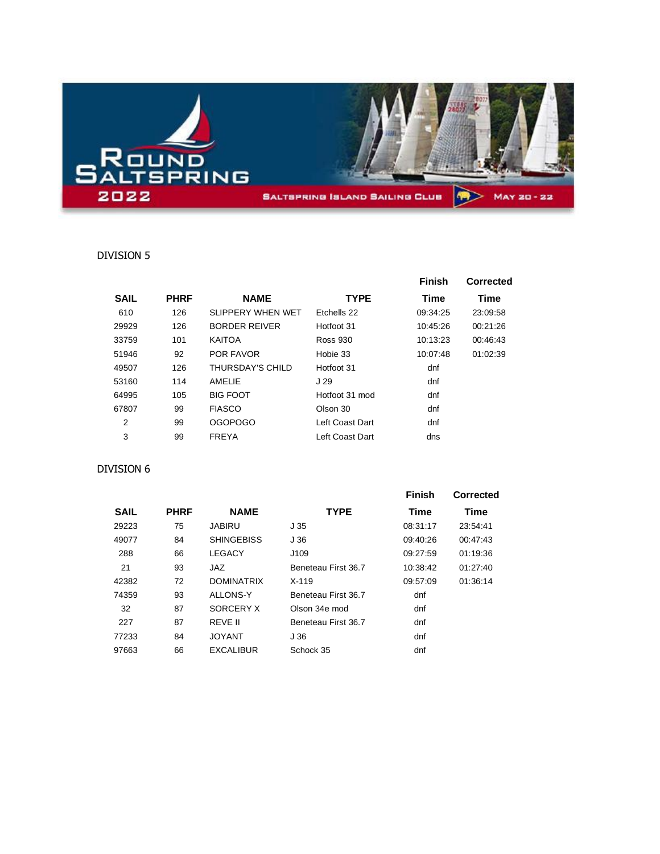

#### DIVISION 5

|             |             |                      |                 | <b>Finish</b> | Corrected |
|-------------|-------------|----------------------|-----------------|---------------|-----------|
| <b>SAIL</b> | <b>PHRF</b> | <b>NAME</b>          | <b>TYPE</b>     | Time          | Time      |
| 610         | 126         | SLIPPERY WHEN WET    | Ftchells 22     | 09:34:25      | 23:09:58  |
| 29929       | 126         | <b>BORDER REIVER</b> | Hotfoot 31      | 10:45:26      | 00:21:26  |
| 33759       | 101         | <b>KAITOA</b>        | Ross 930        | 10:13:23      | 00:46:43  |
| 51946       | 92          | <b>POR FAVOR</b>     | Hobie 33        | 10:07:48      | 01:02:39  |
| 49507       | 126         | THURSDAY'S CHILD     | Hotfoot 31      | dnf           |           |
| 53160       | 114         | AMFI IF              | J 29            | dnf           |           |
| 64995       | 105         | <b>BIG FOOT</b>      | Hotfoot 31 mod  | dnf           |           |
| 67807       | 99          | <b>FIASCO</b>        | Olson 30        | dnf           |           |
| 2           | 99          | <b>OGOPOGO</b>       | Left Coast Dart | dnf           |           |
| 3           | 99          | <b>FREYA</b>         | Left Coast Dart | dns           |           |

#### DIVISION 6

|             |             |                   |                     | <b>Finish</b> | Corrected |
|-------------|-------------|-------------------|---------------------|---------------|-----------|
| <b>SAIL</b> | <b>PHRF</b> | <b>NAME</b>       | <b>TYPE</b>         | Time          | Time      |
| 29223       | 75          | JABIRU            | J 35                | 08:31:17      | 23:54:41  |
| 49077       | 84          | <b>SHINGEBISS</b> | J 36                | 09:40:26      | 00:47:43  |
| 288         | 66          | <b>LEGACY</b>     | J109                | 09:27:59      | 01:19:36  |
| 21          | 93          | JAZ               | Beneteau First 36.7 | 10:38:42      | 01:27:40  |
| 42382       | 72          | <b>DOMINATRIX</b> | $X-119$             | 09:57:09      | 01:36:14  |
| 74359       | 93          | ALLONS-Y          | Beneteau First 36.7 | dnf           |           |
| 32          | 87          | SORCERY X         | Olson 34e mod       | dnf           |           |
| 227         | 87          | REVE II           | Beneteau First 36.7 | dnf           |           |
| 77233       | 84          | <b>JOYANT</b>     | J 36                | dnf           |           |
| 97663       | 66          | <b>EXCALIBUR</b>  | Schock 35           | dnf           |           |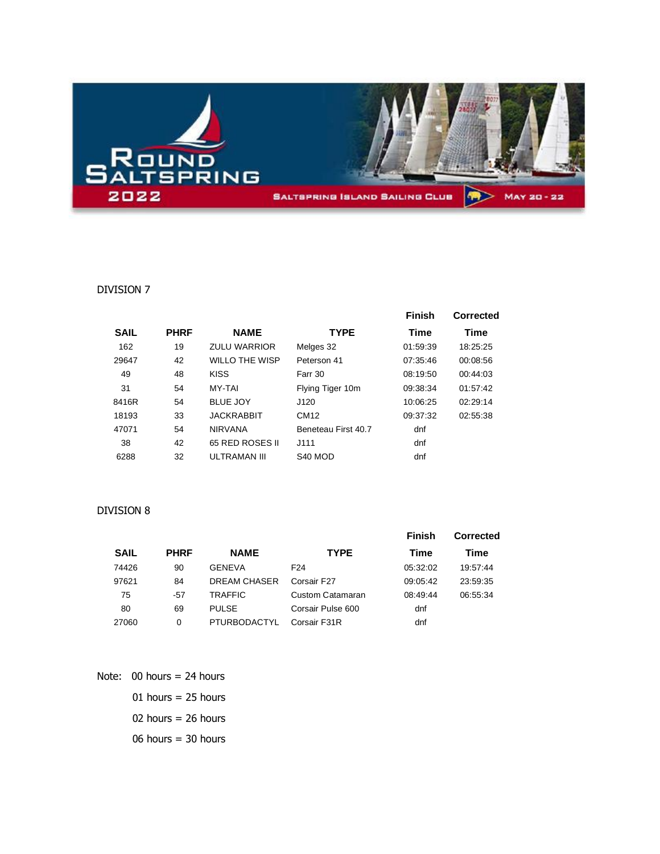

#### DIVISION 7

|             |             |                     |                     | <b>Finish</b> | Corrected |
|-------------|-------------|---------------------|---------------------|---------------|-----------|
| <b>SAIL</b> | <b>PHRF</b> | <b>NAME</b>         | <b>TYPE</b>         | Time          | Time      |
| 162         | 19          | <b>ZULU WARRIOR</b> | Melges 32           | 01:59:39      | 18:25:25  |
| 29647       | 42          | WILLO THE WISP      | Peterson 41         | 07:35:46      | 00:08:56  |
| 49          | 48          | <b>KISS</b>         | Farr 30             | 08:19:50      | 00:44:03  |
| 31          | 54          | MY-TAI              | Flying Tiger 10m    | 09:38:34      | 01:57:42  |
| 8416R       | 54          | <b>BLUE JOY</b>     | J120                | 10:06:25      | 02:29:14  |
| 18193       | 33          | <b>JACKRABBIT</b>   | CM12                | 09:37:32      | 02:55:38  |
| 47071       | 54          | <b>NIRVANA</b>      | Beneteau First 40.7 | dnf           |           |
| 38          | 42          | 65 RED ROSES II     | J111                | dnf           |           |
| 6288        | 32          | ULTRAMAN III        | S <sub>40</sub> MOD | dnf           |           |

#### DIVISION 8

|             |             |                     |                   | Finish   | <b>Corrected</b> |
|-------------|-------------|---------------------|-------------------|----------|------------------|
| <b>SAIL</b> | <b>PHRF</b> | <b>NAME</b>         | <b>TYPE</b>       | Time     | Time             |
| 74426       | 90          | GENEVA              | F <sub>24</sub>   | 05:32:02 | 19:57:44         |
| 97621       | 84          | <b>DREAM CHASER</b> | Corsair F27       | 09:05:42 | 23:59:35         |
| 75          | $-57$       | <b>TRAFFIC</b>      | Custom Catamaran  | 08:49:44 | 06:55:34         |
| 80          | 69          | <b>PULSE</b>        | Corsair Pulse 600 | dnf      |                  |
| 27060       | 0           | PTURBODACTYL        | Corsair F31R      | dnf      |                  |

Note: 00 hours = 24 hours

01 hours  $= 25$  hours

hours = 26 hours

hours = 30 hours